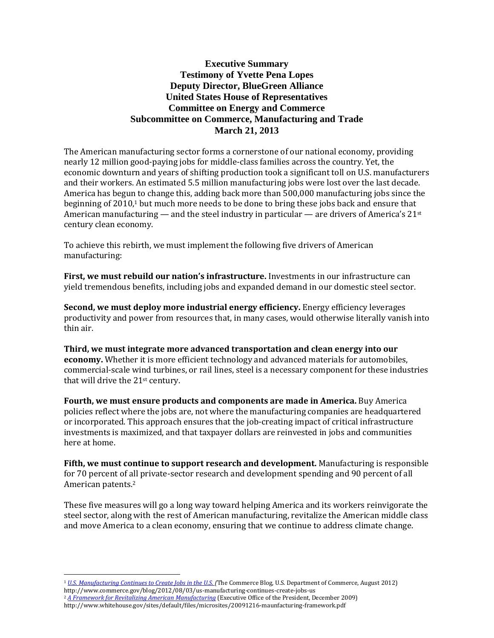# **Executive Summary Testimony of Yvette Pena Lopes Deputy Director, BlueGreen Alliance United States House of Representatives Committee on Energy and Commerce Subcommittee on Commerce, Manufacturing and Trade March 21, 2013**

The American manufacturing sector forms a cornerstone of our national economy, providing nearly 12 million good-paying jobs for middle-class families across the country. Yet, the economic downturn and years of shifting production took a significant toll on U.S. manufacturers and their workers. An estimated 5.5 million manufacturing jobs were lost over the last decade. America has begun to change this, adding back more than 500,000 manufacturing jobs since the beginning of 2010,<sup>1</sup> but much more needs to be done to bring these jobs back and ensure that American manufacturing — and the steel industry in particular — are drivers of America's  $21<sup>st</sup>$ century clean economy.

To achieve this rebirth, we must implement the following five drivers of American manufacturing:

**First, we must rebuild our nation's infrastructure.** Investments in our infrastructure can yield tremendous benefits, including jobs and expanded demand in our domestic steel sector.

**Second, we must deploy more industrial energy efficiency.** Energy efficiency leverages productivity and power from resources that, in many cases, would otherwise literally vanish into thin air.

**Third, we must integrate more advanced transportation and clean energy into our economy.** Whether it is more efficient technology and advanced materials for automobiles, commercial-scale wind turbines, or rail lines, steel is a necessary component for these industries that will drive the 21st century.

**Fourth, we must ensure products and components are made in America.** Buy America policies reflect where the jobs are, not where the manufacturing companies are headquartered or incorporated. This approach ensures that the job-creating impact of critical infrastructure investments is maximized, and that taxpayer dollars are reinvested in jobs and communities here at home.

**Fifth, we must continue to support research and development.** Manufacturing is responsible for 70 percent of all private-sector research and development spending and 90 percent of all American patents.<sup>2</sup>

These five measures will go a long way toward helping America and its workers reinvigorate the steel sector, along with the rest of American manufacturing, revitalize the American middle class and move America to a clean economy, ensuring that we continue to address climate change.

<sup>1</sup> *[U.S. Manufacturing Continues to Create Jobs in the U.S. \(](http://www.commerce.gov/blog/2012/08/03/us-manufacturing-continues-create-jobs-us)*The Commerce Blog, U.S. Department of Commerce, August 2012) http://www.commerce.gov/blog/2012/08/03/us-manufacturing-continues-create-jobs-us

<sup>2</sup> *[A Framework for Revitalizing American Manufacturing](http://www.whitehouse.gov/sites/default/files/microsites/20091216-maunfacturing-framework.pdf)* (Executive Office of the President, December 2009) http://www.whitehouse.gov/sites/default/files/microsites/20091216-maunfacturing-framework.pdf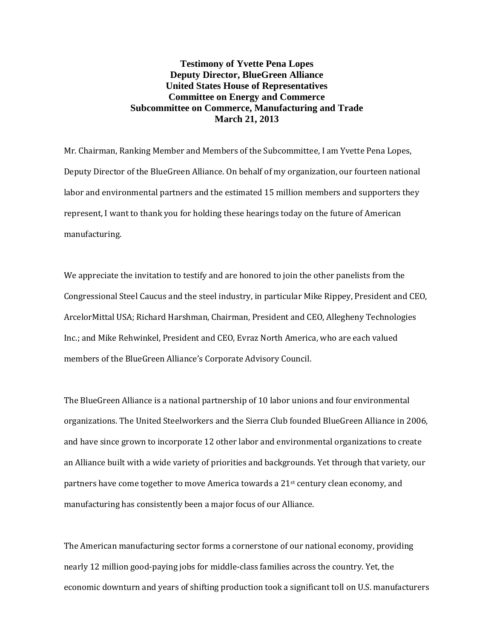## **Testimony of Yvette Pena Lopes Deputy Director, BlueGreen Alliance United States House of Representatives Committee on Energy and Commerce Subcommittee on Commerce, Manufacturing and Trade March 21, 2013**

Mr. Chairman, Ranking Member and Members of the Subcommittee, I am Yvette Pena Lopes, Deputy Director of the BlueGreen Alliance. On behalf of my organization, our fourteen national labor and environmental partners and the estimated 15 million members and supporters they represent, I want to thank you for holding these hearings today on the future of American manufacturing.

We appreciate the invitation to testify and are honored to join the other panelists from the Congressional Steel Caucus and the steel industry, in particular Mike Rippey, President and CEO, ArcelorMittal USA; Richard Harshman, Chairman, President and CEO, Allegheny Technologies Inc.; and Mike Rehwinkel, President and CEO, Evraz North America, who are each valued members of the BlueGreen Alliance's Corporate Advisory Council.

The BlueGreen Alliance is a national partnership of 10 labor unions and four environmental organizations. The United Steelworkers and the Sierra Club founded BlueGreen Alliance in 2006, and have since grown to incorporate 12 other labor and environmental organizations to create an Alliance built with a wide variety of priorities and backgrounds. Yet through that variety, our partners have come together to move America towards a 21st century clean economy, and manufacturing has consistently been a major focus of our Alliance.

The American manufacturing sector forms a cornerstone of our national economy, providing nearly 12 million good-paying jobs for middle-class families across the country. Yet, the economic downturn and years of shifting production took a significant toll on U.S. manufacturers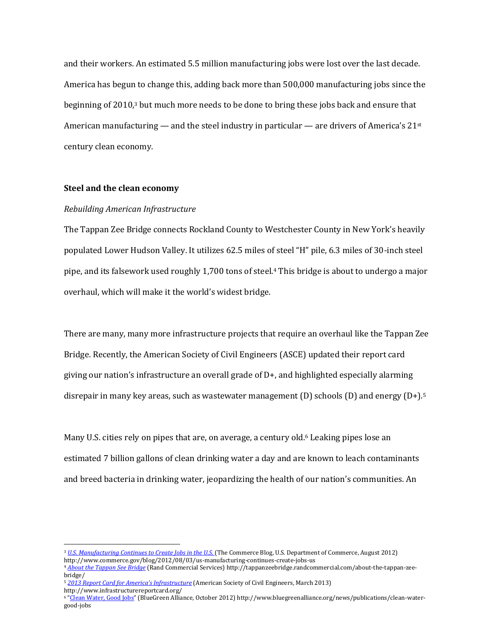and their workers. An estimated 5.5 million manufacturing jobs were lost over the last decade. America has begun to change this, adding back more than 500,000 manufacturing jobs since the beginning of 2010,<sup>3</sup> but much more needs to be done to bring these jobs back and ensure that American manufacturing — and the steel industry in particular — are drivers of America's  $21<sup>st</sup>$ century clean economy.

## **Steel and the clean economy**

 $\overline{a}$ 

## *Rebuilding American Infrastructure*

The Tappan Zee Bridge connects Rockland County to Westchester County in New York's heavily populated Lower Hudson Valley. It utilizes 62.5 miles of steel "H" pile, 6.3 miles of 30-inch steel pipe, and its falsework used roughly 1,700 tons of steel.<sup>4</sup> This bridge is about to undergo a major overhaul, which will make it the world's widest bridge.

There are many, many more infrastructure projects that require an overhaul like the Tappan Zee Bridge. Recently, the American Society of Civil Engineers (ASCE) updated their report card giving our nation's infrastructure an overall grade of  $D<sub>+</sub>$ , and highlighted especially alarming disrepair in many key areas, such as wastewater management  $(D)$  schools  $(D)$  and energy  $(D+1)^5$ 

Many U.S. cities rely on pipes that are, on average, a century old.<sup>6</sup> Leaking pipes lose an estimated 7 billion gallons of clean drinking water a day and are known to leach contaminants and breed bacteria in drinking water, jeopardizing the health of our nation's communities. An

<sup>&</sup>lt;sup>3</sup> [U.S. Manufacturing Continues to Create Jobs in the U.S.](http://www.commerce.gov/blog/2012/08/03/us-manufacturing-continues-create-jobs-us) (The Commerce Blog, U.S. Department of Commerce, August 2012) http://www.commerce.gov/blog/2012/08/03/us-manufacturing-continues-create-jobs-us

<sup>4</sup> *[About the Tappan See Bridge](http://tappanzeebridge.randcommercial.com/about-the-tappan-zee-bridge/)* (Rand Commercial Services) http://tappanzeebridge.randcommercial.com/about-the-tappan-zeebridge/

<sup>5</sup> *[2013 Report Card for America's Infrastructure](http://www.infrastructurereportcard.org/)* (American Society of Civil Engineers, March 2013) http://www.infrastructurereportcard.org/

<sup>&</sup>lt;sup>6</sup> "[Clean Water, Good Jobs](http://www.bluegreenalliance.org/news/publications/clean-water-good-jobs)" (BlueGreen Alliance, October 2012) http://www.bluegreenalliance.org/news/publications/clean-watergood-jobs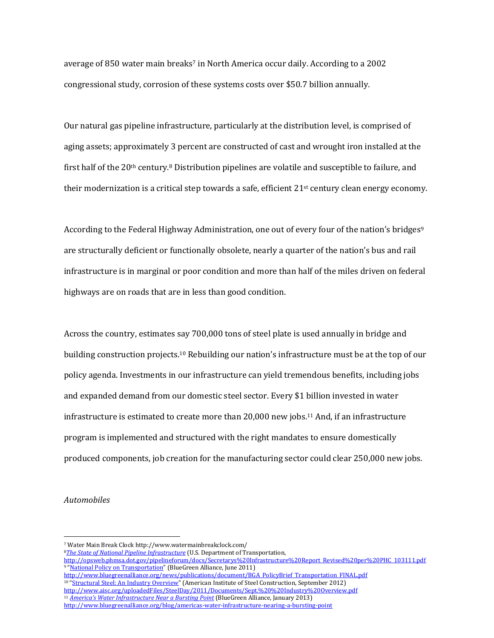average of 850 water main breaks<sup>7</sup> in North America occur daily. According to a 2002 congressional study, corrosion of these systems costs over \$50.7 billion annually.

Our natural gas pipeline infrastructure, particularly at the distribution level, is comprised of aging assets; approximately 3 percent are constructed of cast and wrought iron installed at the first half of the 20th century.<sup>8</sup> Distribution pipelines are volatile and susceptible to failure, and their modernization is a critical step towards a safe, efficient  $21<sup>st</sup>$  century clean energy economy.

According to the Federal Highway Administration, one out of every four of the nation's bridges<sup>9</sup> are structurally deficient or functionally obsolete, nearly a quarter of the nation's bus and rail infrastructure is in marginal or poor condition and more than half of the miles driven on federal highways are on roads that are in less than good condition.

Across the country, estimates say 700,000 tons of steel plate is used annually in bridge and building construction projects.<sup>10</sup> Rebuilding our nation's infrastructure must be at the top of our policy agenda. Investments in our infrastructure can yield tremendous benefits, including jobs and expanded demand from our domestic steel sector. Every \$1 billion invested in water infrastructure is estimated to create more than 20,000 new jobs.<sup>11</sup> And, if an infrastructure program is implemented and structured with the right mandates to ensure domestically produced components, job creation for the manufacturing sector could clear 250,000 new jobs.

#### *Automobiles*

<sup>7</sup> Water Main Break Clock http://www.watermainbreakclock.com/

<sup>8</sup>*[The State of National Pipeline Infrastructure](http://opsweb.phmsa.dot.gov/pipelineforum/docs/Secretarys%20Infrastructure%20Report_Revised%20per%20PHC_103111.pdf)* (U.S. Department of Transportation,

[http://opsweb.phmsa.dot.gov/pipelineforum/docs/Secretarys%20Infrastructure%20Report\\_Revised%20per%20PHC\\_103111.pdf](http://opsweb.phmsa.dot.gov/pipelineforum/docs/Secretarys%20Infrastructure%20Report_Revised%20per%20PHC_103111.pdf) <sup>9</sup> "[National Policy on Transportation](http://www.bluegreenalliance.org/news/publications/document/BGA_PolicyBrief_Transportation_FINAL.pdf)" (BlueGreen Alliance, June 2011)

[http://www.bluegreenalliance.org/news/publications/document/BGA\\_PolicyBrief\\_Transportation\\_FINAL.pdf](http://www.bluegreenalliance.org/news/publications/document/BGA_PolicyBrief_Transportation_FINAL.pdf) <sup>10</sup> "[Structural Steel: An Industry Overview](http://www.aisc.org/uploadedFiles/SteelDay/2011/Documents/Sept.%20%20Industry%20Overview.pdf)" (American Institute of Steel Construction, September 2012) <http://www.aisc.org/uploadedFiles/SteelDay/2011/Documents/Sept.%20%20Industry%20Overview.pdf> <sup>11</sup> *[America's Water Infrastructure Near a Bursting Point](http://www.bluegreenalliance.org/blog/americas-water-infrastructure-nearing-a-bursting-point)* (BlueGreen Alliance, January 2013) <http://www.bluegreenalliance.org/blog/americas-water-infrastructure-nearing-a-bursting-point>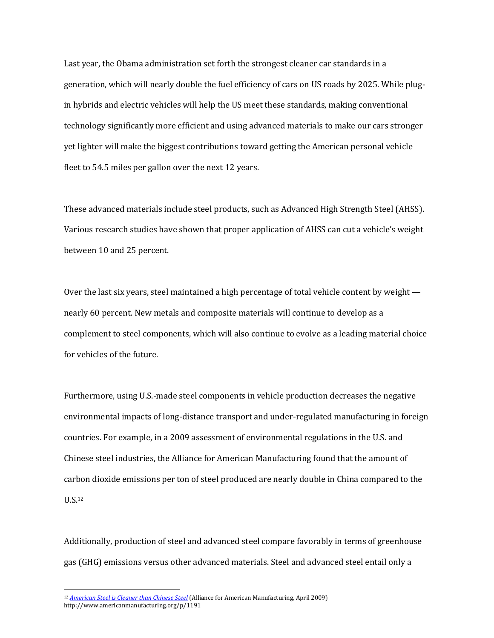Last year, the Obama administration set forth the strongest cleaner car standards in a generation, which will nearly double the fuel efficiency of cars on US roads by 2025. While plugin hybrids and electric vehicles will help the US meet these standards, making conventional technology significantly more efficient and using advanced materials to make our cars stronger yet lighter will make the biggest contributions toward getting the American personal vehicle fleet to 54.5 miles per gallon over the next 12 years.

These advanced materials include steel products, such as Advanced High Strength Steel (AHSS). Various research studies have shown that proper application of AHSS can cut a vehicle's weight between 10 and 25 percent.

Over the last six years, steel maintained a high percentage of total vehicle content by weight nearly 60 percent. New metals and composite materials will continue to develop as a complement to steel components, which will also continue to evolve as a leading material choice for vehicles of the future.

Furthermore, using U.S.-made steel components in vehicle production decreases the negative environmental impacts of long-distance transport and under-regulated manufacturing in foreign countries. For example, in a 2009 assessment of environmental regulations in the U.S. and Chinese steel industries, the Alliance for American Manufacturing found that the amount of carbon dioxide emissions per ton of steel produced are nearly double in China compared to the U.S.<sup>12</sup>

Additionally, production of steel and advanced steel compare favorably in terms of greenhouse gas (GHG) emissions versus other advanced materials. Steel and advanced steel entail only a

<sup>12</sup> *[American Steel is Cleaner than Chinese Steel](http://www.americanmanufacturing.org/p/1191)* (Alliance for American Manufacturing, April 2009) http://www.americanmanufacturing.org/p/1191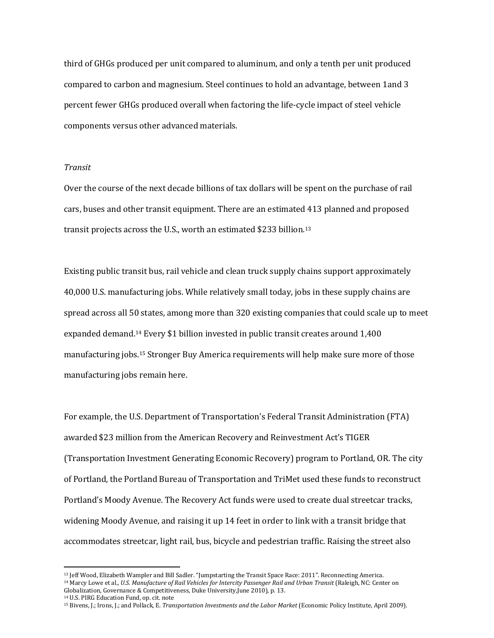third of GHGs produced per unit compared to aluminum, and only a tenth per unit produced compared to carbon and magnesium. Steel continues to hold an advantage, between 1and 3 percent fewer GHGs produced overall when factoring the life-cycle impact of steel vehicle components versus other advanced materials.

## *Transit*

Over the course of the next decade billions of tax dollars will be spent on the purchase of rail cars, buses and other transit equipment. There are an estimated 413 planned and proposed transit projects across the U.S., worth an estimated \$233 billion.<sup>13</sup>

Existing public transit bus, rail vehicle and clean truck supply chains support approximately 40,000 U.S. manufacturing jobs. While relatively small today, jobs in these supply chains are spread across all 50 states, among more than 320 existing companies that could scale up to meet expanded demand.<sup>14</sup> Every \$1 billion invested in public transit creates around 1,400 manufacturing jobs.<sup>15</sup> Stronger Buy America requirements will help make sure more of those manufacturing jobs remain here.

For example, the U.S. Department of Transportation's Federal Transit Administration (FTA) awarded \$23 million from the American Recovery and Reinvestment Act's TIGER (Transportation Investment Generating Economic Recovery) program to Portland, OR. The city of Portland, the Portland Bureau of Transportation and TriMet used these funds to reconstruct Portland's Moody Avenue. The Recovery Act funds were used to create dual streetcar tracks, widening Moody Avenue, and raising it up 14 feet in order to link with a transit bridge that accommodates streetcar, light rail, bus, bicycle and pedestrian traffic. Raising the street also

<sup>14</sup> U.S. PIRG Education Fund, op. cit. note

<sup>13</sup> Jeff Wood, Elizabeth Wampler and Bill Sadler. "Jumpstarting the Transit Space Race: 2011". Reconnecting America. <sup>14</sup> Marcy Lowe et al., *U.S. Manufacture of Rail Vehicles for Intercity Passenger Rail and Urban Transit* (Raleigh, NC: Center on

Globalization, Governance & Competitiveness, Duke University,June 2010), p. 13.

<sup>15</sup> Bivens, J.; Irons, J.; and Pollack, E. *Transportation Investments and the Labor Market* (Economic Policy Institute, April 2009).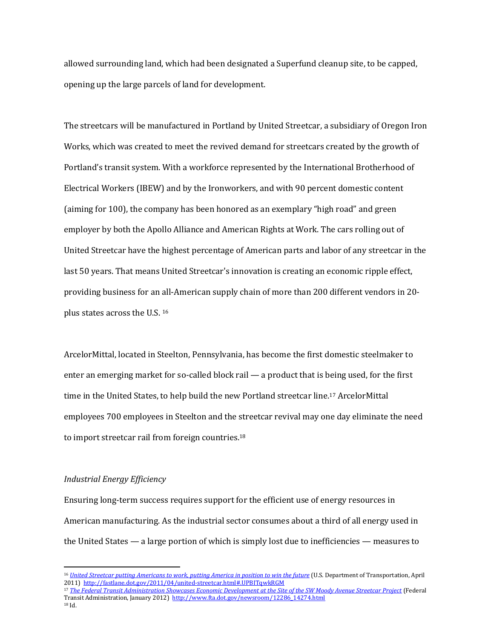allowed surrounding land, which had been designated a Superfund cleanup site, to be capped, opening up the large parcels of land for development.

The streetcars will be manufactured in Portland by United Streetcar, a subsidiary of Oregon Iron Works, which was created to meet the revived demand for streetcars created by the growth of Portland's transit system. With a workforce represented by the International Brotherhood of Electrical Workers (IBEW) and by the Ironworkers, and with 90 percent domestic content (aiming for 100), the company has been honored as an exemplary "high road" and green employer by both the Apollo Alliance and American Rights at Work. The cars rolling out of United Streetcar have the highest percentage of American parts and labor of any streetcar in the last 50 years. That means United Streetcar's innovation is creating an economic ripple effect, providing business for an all-American supply chain of more than 200 different vendors in 20 plus states across the U.S. <sup>16</sup>

ArcelorMittal, located in Steelton, Pennsylvania, has become the first domestic steelmaker to enter an emerging market for so-called block rail — a product that is being used, for the first time in the United States, to help build the new Portland streetcar line.<sup>17</sup> ArcelorMittal employees 700 employees in Steelton and the streetcar revival may one day eliminate the need to import streetcar rail from foreign countries.<sup>18</sup>

## *Industrial Energy Efficiency*

Ensuring long-term success requires support for the efficient use of energy resources in American manufacturing. As the industrial sector consumes about a third of all energy used in the United States — a large portion of which is simply lost due to inefficiencies — measures to

<sup>16</sup> *United Streetcar putting Americans to work, [putting America in position to win the future](http://fastlane.dot.gov/2011/04/united-streetcar.html#.UUm8FFtARYR)* (U.S. Department of Transportation, April 2011)<http://fastlane.dot.gov/2011/04/united-streetcar.html#.UPBITqwkRGM>

<sup>17</sup> *[The Federal Transit Administration Showcases Economic Development at the Site of the SW Moody Avenue Streetcar Project](http://www.fta.dot.gov/newsroom/12286_14274.html)* (Federal Transit Administration, January 2012) [http://www.fta.dot.gov/newsroom/12286\\_14274.html](http://www.fta.dot.gov/newsroom/12286_14274.html)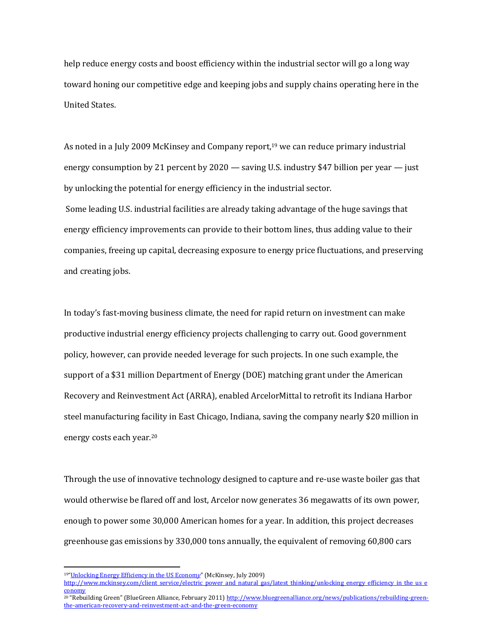help reduce energy costs and boost efficiency within the industrial sector will go a long way toward honing our competitive edge and keeping jobs and supply chains operating here in the United States.

As noted in a July 2009 McKinsey and Company report,<sup>19</sup> we can reduce primary industrial energy consumption by 21 percent by 2020 — saving U.S. industry \$47 billion per year — just by unlocking the potential for energy efficiency in the industrial sector. Some leading U.S. industrial facilities are already taking advantage of the huge savings that energy efficiency improvements can provide to their bottom lines, thus adding value to their companies, freeing up capital, decreasing exposure to energy price fluctuations, and preserving and creating jobs.

In today's fast-moving business climate, the need for rapid return on investment can make productive industrial energy efficiency projects challenging to carry out. Good government policy, however, can provide needed leverage for such projects. In one such example, the support of a \$31 million Department of Energy (DOE) matching grant under the American Recovery and Reinvestment Act (ARRA), enabled ArcelorMittal to retrofit its Indiana Harbor steel manufacturing facility in East Chicago, Indiana, saving the company nearly \$20 million in energy costs each year.<sup>20</sup>

Through the use of innovative technology designed to capture and re-use waste boiler gas that would otherwise be flared off and lost, Arcelor now generates 36 megawatts of its own power, enough to power some 30,000 American homes for a year. In addition, this project decreases greenhouse gas emissions by 330,000 tons annually, the equivalent of removing 60,800 cars

<sup>19</sup>"[Unlocking Energy Efficiency in the US Econom](file:///C:/Users/kellys.BLUEGREEN/AppData/Local/Microsoft/Windows/Temporary%20Internet%20Files/Content.Outlook/U2EBFK43/Unlocking%20energy%20efficiency%20in%20the%20US%20economy)*y*" (McKinsey, July 2009)

[http://www.mckinsey.com/client\\_service/electric\\_power\\_and\\_natural\\_gas/latest\\_thinking/unlocking\\_energy\\_efficiency\\_in\\_the\\_us\\_e](http://www.mckinsey.com/client_service/electric_power_and_natural_gas/latest_thinking/unlocking_energy_efficiency_in_the_us_economy) [conomy](http://www.mckinsey.com/client_service/electric_power_and_natural_gas/latest_thinking/unlocking_energy_efficiency_in_the_us_economy)

<sup>&</sup>lt;sup>20</sup> "Rebuilding Green" (BlueGreen Alliance, February 2011[\) http://www.bluegreenalliance.org/news/publications/rebuilding-green](http://www.bluegreenalliance.org/news/publications/rebuilding-green-the-american-recovery-and-reinvestment-act-and-the-green-economy)[the-american-recovery-and-reinvestment-act-and-the-green-economy](http://www.bluegreenalliance.org/news/publications/rebuilding-green-the-american-recovery-and-reinvestment-act-and-the-green-economy)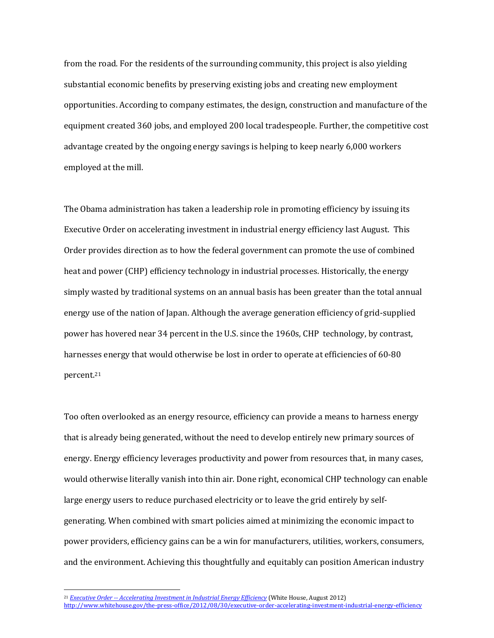from the road. For the residents of the surrounding community, this project is also yielding substantial economic benefits by preserving existing jobs and creating new employment opportunities. According to company estimates, the design, construction and manufacture of the equipment created 360 jobs, and employed 200 local tradespeople. Further, the competitive cost advantage created by the ongoing energy savings is helping to keep nearly 6,000 workers employed at the mill.

The Obama administration has taken a leadership role in promoting efficiency by issuing its Executive Order on accelerating investment in industrial energy efficiency last August. This Order provides direction as to how the federal government can promote the use of combined heat and power (CHP) efficiency technology in industrial processes. Historically, the energy simply wasted by traditional systems on an annual basis has been greater than the total annual energy use of the nation of Japan. Although the average generation efficiency of grid-supplied power has hovered near 34 percent in the U.S. since the 1960s, CHP technology, by contrast, harnesses energy that would otherwise be lost in order to operate at efficiencies of 60-80 percent.<sup>21</sup>

Too often overlooked as an energy resource, efficiency can provide a means to harness energy that is already being generated, without the need to develop entirely new primary sources of energy. Energy efficiency leverages productivity and power from resources that, in many cases, would otherwise literally vanish into thin air. Done right, economical CHP technology can enable large energy users to reduce purchased electricity or to leave the grid entirely by selfgenerating. When combined with smart policies aimed at minimizing the economic impact to power providers, efficiency gains can be a win for manufacturers, utilities, workers, consumers, and the environment. Achieving this thoughtfully and equitably can position American industry

<sup>21</sup> *Executive Order -- [Accelerating Investment in Industrial Energy Efficiency](http://www.whitehouse.gov/the-press-office/2012/08/30/executive-order-accelerating-investment-industrial-energy-efficiency)* (White House, August 2012) <http://www.whitehouse.gov/the-press-office/2012/08/30/executive-order-accelerating-investment-industrial-energy-efficiency>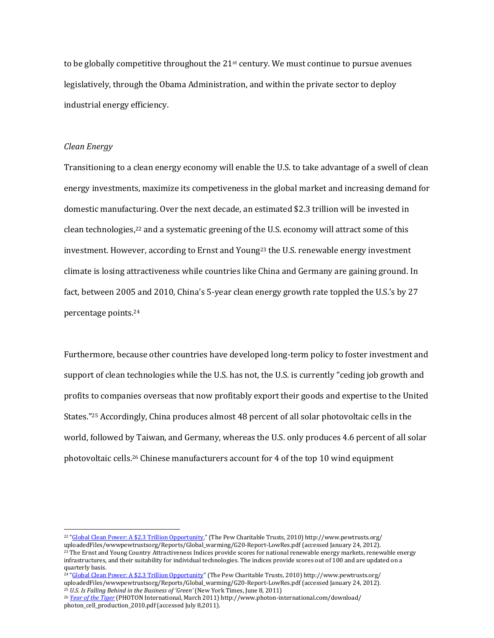to be globally competitive throughout the  $21<sup>st</sup>$  century. We must continue to pursue avenues legislatively, through the Obama Administration, and within the private sector to deploy industrial energy efficiency.

#### *Clean Energy*

 $\overline{a}$ 

Transitioning to a clean energy economy will enable the U.S. to take advantage of a swell of clean energy investments, maximize its competiveness in the global market and increasing demand for domestic manufacturing. Over the next decade, an estimated \$2.3 trillion will be invested in clean technologies,<sup>22</sup> and a systematic greening of the U.S. economy will attract some of this investment. However, according to Ernst and Young<sup>23</sup> the U.S. renewable energy investment climate is losing attractiveness while countries like China and Germany are gaining ground. In fact, between 2005 and 2010, China's 5-year clean energy growth rate toppled the U.S.'s by 27 percentage points.<sup>24</sup>

Furthermore, because other countries have developed long-term policy to foster investment and support of clean technologies while the U.S. has not, the U.S. is currently "ceding job growth and profits to companies overseas that now profitably export their goods and expertise to the United States."<sup>25</sup> Accordingly, China produces almost 48 percent of all solar photovoltaic cells in the world, followed by Taiwan, and Germany, whereas the U.S. only produces 4.6 percent of all solar photovoltaic cells.<sup>26</sup> Chinese manufacturers account for 4 of the top 10 wind equipment

<sup>&</sup>lt;sup>22</sup> "[Global Clean Power: A \\$2.3 Trillion Opportunity](http://www.pewtrusts.org/%20uploadedFiles/wwwpewtrustsorg/Reports/Global_warming/G20-Report-LowRes.pdf)," (The Pew Charitable Trusts, 2010) http://www.pewtrusts.org/

uploadedFiles/wwwpewtrustsorg/Reports/Global\_warming/G20-Report-LowRes.pdf (accessed January 24, 2012).

<sup>&</sup>lt;sup>23</sup> The Ernst and Young Country Attractiveness Indices provide scores for national renewable energy markets, renewable energy infrastructures, and their suitability for individual technologies. The indices provide scores out of 100 and are updated on a quarterly basis.

<sup>&</sup>lt;sup>24</sup> "[Global Clean Power: A \\$2.3 Trillion Opportunity](http://www.pewtrusts.org/%20uploadedFiles/wwwpewtrustsorg/Reports/Global_warming/G20-Report-LowRes.pdf)" (The Pew Charitable Trusts, 2010) http://www.pewtrusts.org/ uploadedFiles/wwwpewtrustsorg/Reports/Global\_warming/G20-Report-LowRes.pdf (accessed January 24, 2012).

<sup>25</sup> *U.S. Is Falling Behind in the Business of 'Green'* (New York Times, June 8, 2011)

<sup>26</sup> *[Year of the Tiger](http://www.photon-international.com/download/%20photon_cell_production_2010.pdf)* (PHOTON International, March 2011) http://www.photon-international.com/download/ photon\_cell\_production\_2010.pdf (accessed July 8,2011).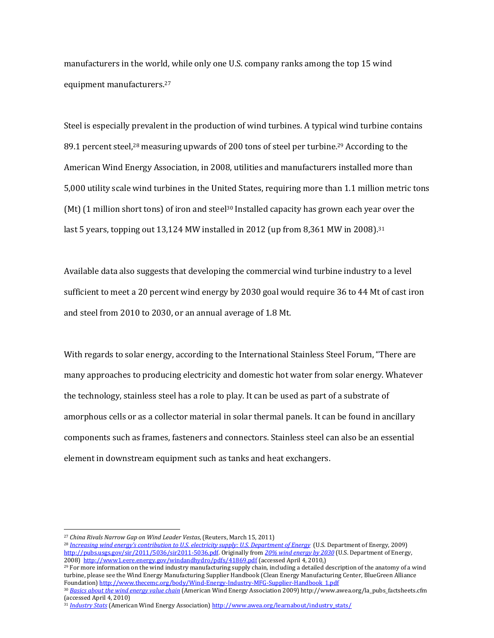manufacturers in the world, while only one U.S. company ranks among the top 15 wind equipment manufacturers.<sup>27</sup>

Steel is especially prevalent in the production of wind turbines. A typical wind turbine contains 89.1 percent steel,<sup>28</sup> measuring upwards of 200 tons of steel per turbine.<sup>29</sup> According to the American Wind Energy Association, in 2008, utilities and manufacturers installed more than 5,000 utility scale wind turbines in the United States, requiring more than 1.1 million metric tons (Mt)  $(1 \text{ million short tons})$  of iron and steel<sup>30</sup> Installed capacity has grown each year over the last 5 years, topping out 13,124 MW installed in 2012 (up from 8,361 MW in 2008).<sup>31</sup>

Available data also suggests that developing the commercial wind turbine industry to a level sufficient to meet a 20 percent wind energy by 2030 goal would require 36 to 44 Mt of cast iron and steel from 2010 to 2030, or an annual average of 1.8 Mt.

With regards to solar energy, according to the International Stainless Steel Forum, "There are many approaches to producing electricity and domestic hot water from solar energy. Whatever the technology, stainless steel has a role to play. It can be used as part of a substrate of amorphous cells or as a collector material in solar thermal panels. It can be found in ancillary components such as frames, fasteners and connectors. Stainless steel can also be an essential element in downstream equipment such as tanks and heat exchangers.

 $\overline{a}$ 

<sup>29</sup> For more information on the wind industry manufacturing supply chain, including a detailed description of the anatomy of a wind turbine, please see the Wind Energy Manufacturing Supplier Handbook (Clean Energy Manufacturing Center, BlueGreen Alliance Foundation[\) http://www.thecemc.org/body/Wind-Energy-Industry-MFG-Supplier-Handbook\\_1.pdf](http://www.thecemc.org/body/Wind-Energy-Industry-MFG-Supplier-Handbook_1.pdf)

<sup>27</sup> *China Rivals Narrow Gap on Wind Leader Vestas*, (Reuters, March 15, 2011)

<sup>28</sup> *[Increasing wind energy's contribution to U.S. electricity supply: U.S. Department of Energy](http://pubs.usgs.gov/sir/2011/5036/sir2011-5036.pdf)* (U.S. Department of Energy, 2009) [http://pubs.usgs.gov/sir/2011/5036/sir2011-5036.pdf.](http://pubs.usgs.gov/sir/2011/5036/sir2011-5036.pdf) Originally from *[20% wind energy by 2030](http://www1.eere.energy.gov/windandhydro/pdfs/41869.pdf)* (U.S. Department of Energy, 2008)<http://www1.eere.energy.gov/windandhydro/pdfs/41869.pdf> (accessed April 4, 2010,)

<sup>30</sup> *[Basics about the wind energy value chain](http://pubs.usgs.gov/sir/2011/5036/sir2011-5036.pdf)* (American Wind Energy Association 2009) http://www.awea.org/la\_pubs\_factsheets.cfm (accessed April 4, 2010)

<sup>31</sup> *[Industry Stats](http://www.awea.org/learnabout/industry_stats/)* (American Wind Energy Association[\) http://www.awea.org/learnabout/industry\\_stats/](http://www.awea.org/learnabout/industry_stats/)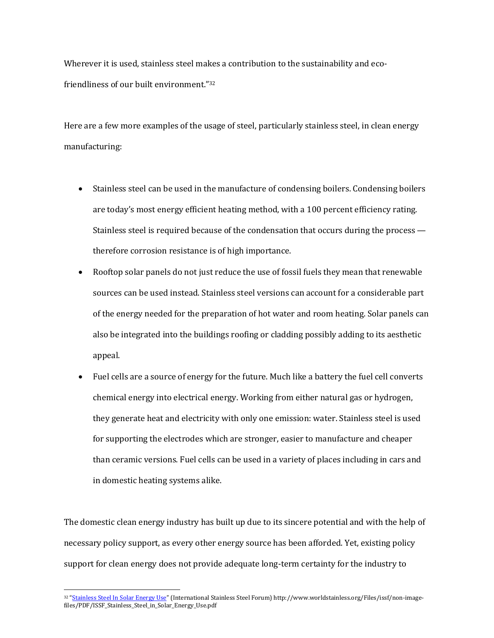Wherever it is used, stainless steel makes a contribution to the sustainability and ecofriendliness of our built environment."<sup>32</sup>

Here are a few more examples of the usage of steel, particularly stainless steel, in clean energy manufacturing:

- Stainless steel can be used in the manufacture of condensing boilers. Condensing boilers are today's most energy efficient heating method, with a 100 percent efficiency rating. Stainless steel is required because of the condensation that occurs during the process therefore corrosion resistance is of high importance.
- Rooftop solar panels do not just reduce the use of fossil fuels they mean that renewable sources can be used instead. Stainless steel versions can account for a considerable part of the energy needed for the preparation of hot water and room heating. Solar panels can also be integrated into the buildings roofing or cladding possibly adding to its aesthetic appeal.
- Fuel cells are a source of energy for the future. Much like a battery the fuel cell converts chemical energy into electrical energy. Working from either natural gas or hydrogen, they generate heat and electricity with only one emission: water. Stainless steel is used for supporting the electrodes which are stronger, easier to manufacture and cheaper than ceramic versions. Fuel cells can be used in a variety of places including in cars and in domestic heating systems alike.

The domestic clean energy industry has built up due to its sincere potential and with the help of necessary policy support, as every other energy source has been afforded. Yet, existing policy support for clean energy does not provide adequate long-term certainty for the industry to

<sup>32 &</sup>quot;[Stainless Steel In Solar Energy Use](http://www.worldstainless.org/Files/issf/non-image-files/PDF/ISSF_Stainless_Steel_in_Solar_Energy_Use.pdf)" (International Stainless Steel Forum) http://www.worldstainless.org/Files/issf/non-imagefiles/PDF/ISSF\_Stainless\_Steel\_in\_Solar\_Energy\_Use.pdf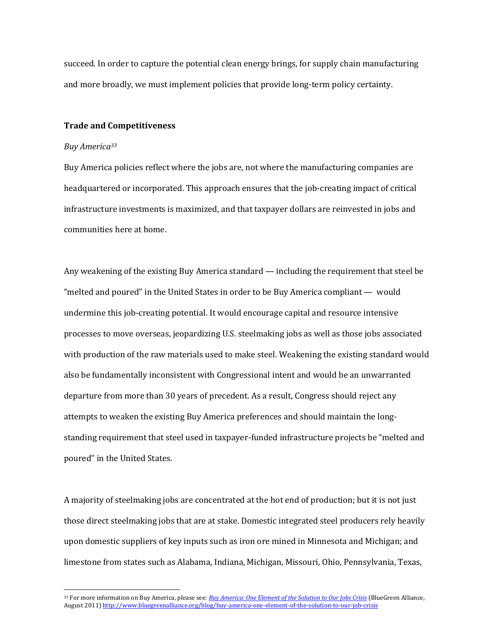succeed. In order to capture the potential clean energy brings, for supply chain manufacturing and more broadly, we must implement policies that provide long-term policy certainty.

#### **Trade and Competitiveness**

## *Buy America<sup>33</sup>*

 $\overline{a}$ 

Buy America policies reflect where the jobs are, not where the manufacturing companies are headquartered or incorporated. This approach ensures that the job-creating impact of critical infrastructure investments is maximized, and that taxpayer dollars are reinvested in jobs and communities here at home.

Any weakening of the existing Buy America standard — including the requirement that steel be "melted and poured" in the United States in order to be Buy America compliant — would undermine this job-creating potential. It would encourage capital and resource intensive processes to move overseas, jeopardizing U.S. steelmaking jobs as well as those jobs associated with production of the raw materials used to make steel. Weakening the existing standard would also be fundamentally inconsistent with Congressional intent and would be an unwarranted departure from more than 30 years of precedent. As a result, Congress should reject any attempts to weaken the existing Buy America preferences and should maintain the longstanding requirement that steel used in taxpayer-funded infrastructure projects be "melted and poured" in the United States.

A majority of steelmaking jobs are concentrated at the hot end of production; but it is not just those direct steelmaking jobs that are at stake. Domestic integrated steel producers rely heavily upon domestic suppliers of key inputs such as iron ore mined in Minnesota and Michigan; and limestone from states such as Alabama, Indiana, Michigan, Missouri, Ohio, Pennsylvania, Texas,

<sup>33</sup> For more information on Buy America, please see: *[Buy America: One Element of the Solution to Our Jobs Crisis](http://www.bluegreenalliance.org/blog/buy-america-one-element-of-the-solution-to-our-job-crisis)* (BlueGreen Alliance, August 2011[\) http://www.bluegreenalliance.org/blog/buy-america-one-element-of-the-solution-to-our-job-crisis](http://www.bluegreenalliance.org/blog/buy-america-one-element-of-the-solution-to-our-job-crisis)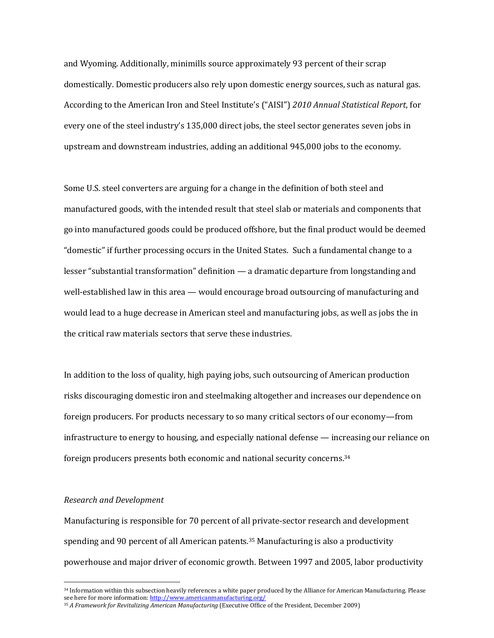and Wyoming. Additionally, minimills source approximately 93 percent of their scrap domestically. Domestic producers also rely upon domestic energy sources, such as natural gas. According to the American Iron and Steel Institute's ("AISI") *2010 Annual Statistical Report*, for every one of the steel industry's 135,000 direct jobs, the steel sector generates seven jobs in upstream and downstream industries, adding an additional 945,000 jobs to the economy.

Some U.S. steel converters are arguing for a change in the definition of both steel and manufactured goods, with the intended result that steel slab or materials and components that go into manufactured goods could be produced offshore, but the final product would be deemed "domestic" if further processing occurs in the United States. Such a fundamental change to a lesser "substantial transformation" definition — a dramatic departure from longstanding and well-established law in this area — would encourage broad outsourcing of manufacturing and would lead to a huge decrease in American steel and manufacturing jobs, as well as jobs the in the critical raw materials sectors that serve these industries.

In addition to the loss of quality, high paying jobs, such outsourcing of American production risks discouraging domestic iron and steelmaking altogether and increases our dependence on foreign producers. For products necessary to so many critical sectors of our economy—from infrastructure to energy to housing, and especially national defense — increasing our reliance on foreign producers presents both economic and national security concerns.<sup>34</sup>

#### *Research and Development*

 $\overline{a}$ 

Manufacturing is responsible for 70 percent of all private-sector research and development spending and 90 percent of all American patents.<sup>35</sup> Manufacturing is also a productivity powerhouse and major driver of economic growth. Between 1997 and 2005, labor productivity

<sup>34</sup> Information within this subsection heavily references a white paper produced by the Alliance for American Manufacturing. Please see here for more information[: http://www.americanmanufacturing.org/](http://www.americanmanufacturing.org/)

<sup>35</sup> *A Framework for Revitalizing American Manufacturing* (Executive Office of the President, December 2009)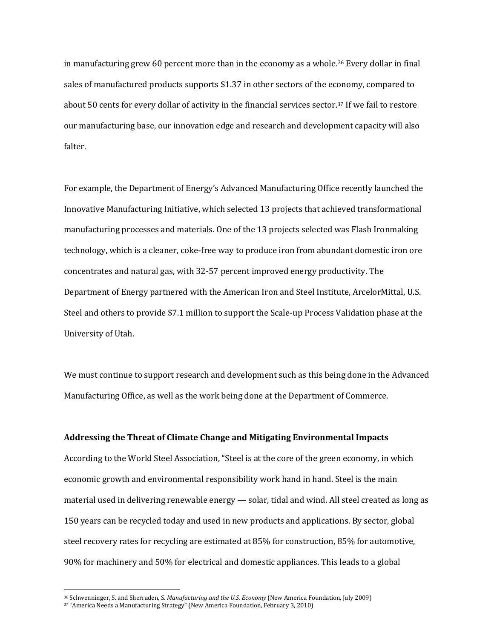in manufacturing grew 60 percent more than in the economy as a whole.<sup>36</sup> Every dollar in final sales of manufactured products supports \$1.37 in other sectors of the economy, compared to about 50 cents for every dollar of activity in the financial services sector.<sup>37</sup> If we fail to restore our manufacturing base, our innovation edge and research and development capacity will also falter.

For example, the Department of Energy's Advanced Manufacturing Office recently launched the Innovative Manufacturing Initiative, which selected 13 projects that achieved transformational manufacturing processes and materials. One of the 13 projects selected was Flash Ironmaking technology, which is a cleaner, coke-free way to produce iron from abundant domestic iron ore concentrates and natural gas, with 32-57 percent improved energy productivity. The Department of Energy partnered with the American Iron and Steel Institute, ArcelorMittal, U.S. Steel and others to provide \$7.1 million to support the Scale-up Process Validation phase at the University of Utah.

We must continue to support research and development such as this being done in the Advanced Manufacturing Office, as well as the work being done at the Department of Commerce.

#### **Addressing the Threat of Climate Change and Mitigating Environmental Impacts**

According to the World Steel Association, "Steel is at the core of the green economy, in which economic growth and environmental responsibility work hand in hand. Steel is the main material used in delivering renewable energy — solar, tidal and wind. All steel created as long as 150 years can be recycled today and used in new products and applications. By sector, global steel recovery rates for recycling are estimated at 85% for construction, 85% for automotive, 90% for machinery and 50% for electrical and domestic appliances. This leads to a global

<sup>36</sup> Schwenninger, S. and Sherraden, S. *Manufacturing and the U.S. Economy* (New America Foundation, July 2009)

<sup>37</sup> "America Needs a Manufacturing Strategy" (New America Foundation, February 3, 2010)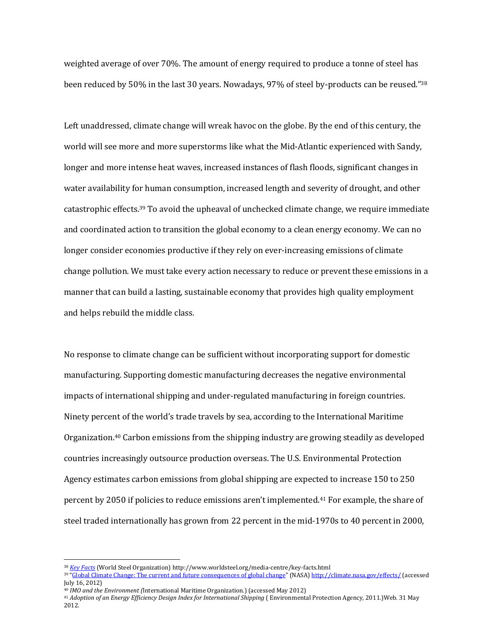weighted average of over 70%. The amount of energy required to produce a tonne of steel has been reduced by 50% in the last 30 years. Nowadays, 97% of steel by-products can be reused."<sup>38</sup>

Left unaddressed, climate change will wreak havoc on the globe. By the end of this century, the world will see more and more superstorms like what the Mid-Atlantic experienced with Sandy, longer and more intense heat waves, increased instances of flash floods, significant changes in water availability for human consumption, increased length and severity of drought, and other catastrophic effects.<sup>39</sup> To avoid the upheaval of unchecked climate change, we require immediate and coordinated action to transition the global economy to a clean energy economy. We can no longer consider economies productive if they rely on ever-increasing emissions of climate change pollution. We must take every action necessary to reduce or prevent these emissions in a manner that can build a lasting, sustainable economy that provides high quality employment and helps rebuild the middle class.

No response to climate change can be sufficient without incorporating support for domestic manufacturing. Supporting domestic manufacturing decreases the negative environmental impacts of international shipping and under-regulated manufacturing in foreign countries. Ninety percent of the world's trade travels by sea, according to the International Maritime Organization.<sup>40</sup> Carbon emissions from the shipping industry are growing steadily as developed countries increasingly outsource production overseas. The U.S. Environmental Protection Agency estimates carbon emissions from global shipping are expected to increase 150 to 250 percent by 2050 if policies to reduce emissions aren't implemented.<sup>41</sup> For example, the share of steel traded internationally has grown from 22 percent in the mid-1970s to 40 percent in 2000,

 $\overline{a}$ 

<sup>41</sup> *Adoption of an Energy Efficiency Design Index for International Shipping* ( Environmental Protection Agency, 2011.)Web. 31 May 2012.

<sup>38</sup> *[Key Facts](http://www.worldsteel.org/media-centre/key-facts.html)* (World Steel Organization) http://www.worldsteel.org/media-centre/key-facts.html

<sup>&</sup>lt;sup>39</sup> "[Global Climate Change: The current and future consequences of global change](http://climate.nasa.gov/effects/)" (NASA) <http://climate.nasa.gov/effects/> (accessed July 16, 2012)

<sup>40</sup> *IMO and the Environment (*International Maritime Organization.) (accessed May 2012)